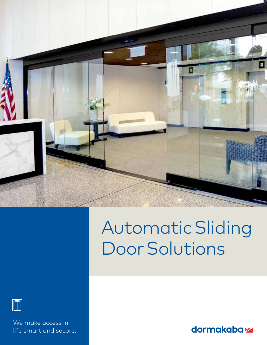

# AutomaticSliding DoorSolutions



 We make access in life smart and secure.

dormakabaz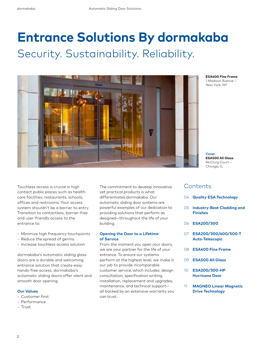## **Entrance Solutions By dormakaba** Security. Sustainability. Reliability.



**ESA400 Fine Frame** 1 Madison Avenue – New York, NY

**Cover ESA500 All Glass** McClurg Court – Chicago, IL

Touchless access is crucial in high contact public places such as healthcare facilities, restaurants, schools, offices and restrooms. Your access system shouldn't be a barrier to entry. Transition to contactless, barrier-free and user-friendly access to the entrance to:

- Minimize high frequency touchpoints
- Reduce the spread of germs
- Increase touchless access solution

dormakaba's automatic sliding glass doors are a durable and welcoming entrance solution that create easy hands-free access. dormakaba's automatic sliding doors offer silent and smooth door opening.

#### **Our Values**

- Customer first
- Performance
- Trust

The commitment to develop innovative yet practical products is what differentiates dormakaba. Our automatic sliding door systems are powerful examples of our dedication to providing solutions that perform as designed—throughout the life of your building.

#### **Opening the Door to a Lifetime of Service**

From the moment you open your doors, we are your partner for the life of your entrance. To ensure our systems perform at the highest level, we make it our job to provide incomparable customer service, which includes: design consultation, specification writing, installation, replacement and upgrades, maintenance, and technical support all backed by an extensive warranty you can trust.

### **Contents**

- 04 **Quality ESA Technology**
- 05 **Industry-Best Cladding and Finishes**
- 06 **ESA200/300**
- 07 **ESA200/300/400/500-T Auto-Telescopic**
- 08 **ESA400 Fine Frame**
- 09 **ESA500 All Glass**
- 10 **ESA200/300-HP Hurricane Door**
- 11 **MAGNEO Linear Magnetic Drive Technology**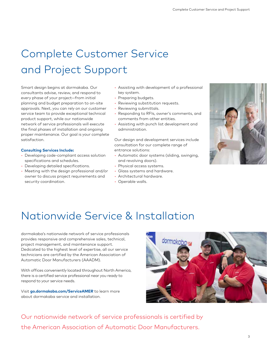### Complete Customer Service and Project Support

Smart design begins at dormakaba. Our consultants advise, review, and respond to every phase of your project—from initial planning and budget preparation to on-site approvals. Next, you can rely on our customer service team to provide exceptional technical product support, while our nationwide network of service professionals will execute the final phases of installation and ongoing proper maintenance. Our goal is your complete satisfaction.

#### **Consulting Services Include:**

- Developing code-compliant access solution specifications and schedules.
- Developing detailed specifications.
- Meeting with the design professional and/or owner to discuss project requirements and security coordination.
- Assisting with development of a professional key system.
- Preparing budgets.
- Reviewing substitution requests.
- Reviewing submittals.
- Responding to RFIs, owner's comments, and comments from other entities.
- Assisting with punch list development and administration.

Our design and development services include consultation for our complete range of entrance solutions:

- Automatic door systems (sliding, swinging, and revolving doors).
- Physical access systems.
- Glass systems and hardware.
- Architectural hardware.
- Operable walls.



### Nationwide Service & Installation

dormakaba's nationwide network of service professionals provides responsive and comprehensive sales, technical, project management, and maintenance support. Dedicated to the highest level of expertise, all our service technicians are certified by the American Association of Automatic Door Manufacturers (AAADM).

With offices conveniently located throughout North America, there is a certified service professional near you ready to respond to your service needs.

Visit **go.dormakaba.com/ServiceAMER** to learn more about dormakaba service and installation.



Our nationwide network of service professionals is certified by the American Association of Automatic Door Manufacturers.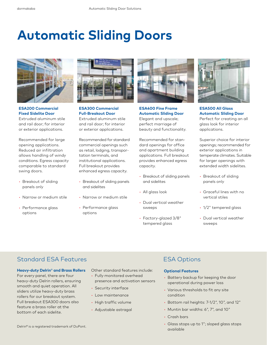# **Automatic Sliding Doors**



**ESA200 Commercial Fixed Sidelite Door**  Extruded aluminum stile and rail door; for interior or exterior applications.

Recommended for large opening applications. Reduced air infiltration allows handling of windy conditions. Egress capacity comparable to standard swing doors.

- Breakout of sliding panels only
- Narrow or medium stile
- Performance glass options



**ESA300 Commercial Full-Breakout Door**  Extruded aluminum stile and rail door; for interior or exterior applications.

Recommended for standard commercial openings such as retail, lodging, transportation terminals, and institutional applications. Full breakout provides enhanced egress capacity.

- Breakout of sliding panels and sidelites
- Narrow or medium stile
- Performance glass options



**ESA400 Fine Frame Automatic Sliding Door**  Elegant and upscale; perfect marriage of beauty and functionality.

Recommended for standard openings for office and apartment building applications. Full breakout provides enhanced egress capacity.

- Breakout of sliding panels and sidelites
- All glass look
- Dual vertical weather sweeps
- Factory-glazed 3/8" tempered glass



**ESA500 All Glass Automatic Sliding Door**  Perfect for creating an all glass look for interior applications.

Superior choice for interior openings; recommended for exterior applications in temperate climates. Suitable for larger openings with extended width sidelites.

- Breakout of sliding panels only
- Graceful lines with no vertical stiles
- 1/2" tempered glass
- Dual vertical weather sweeps

### **Standard ESA Features ESA Options**

#### **Heavy-duty Delrin**® **and Brass Rollers**

For every panel, there are four heavy-duty Delrin rollers, ensuring smooth and quiet operation. All sliders utilize heavy-duty brass rollers for our breakout system. Full breakout ESA300 doors also feature a brass roller at the bottom of each sidelite.

Other standard features include:

- Fully monitored overhead presence and activation sensors
- Security interface
- Low maintenance
- High traffic volume
- Adjustable astragal

#### **Optional Features**

- Battery backup for keeping the door operational during power loss
- Various thresholds to fit any site condition
- Bottom rail heights: 7-1/2", 10", and 12"
- Muntin bar widths: 6", 7", and 10"
- Crash bars
- Glass stops up to 1"; sloped glass stops available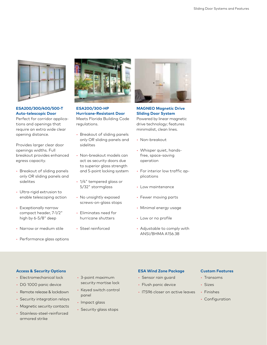

**ESA200/300/400/500-T Auto-telescopic Door**  Perfect for corridor applications and openings that require an extra wide clear

opening distance.

Provides larger clear door openings widths. Full breakout provides enhanced egress capacity.

- Breakout of sliding panels only OR sliding panels and sidelites
- Ultra-rigid extrusion to enable telescoping action
- Exceptionally narrow compact header, 7-1/2" high by 6-5/8" deep
- Narrow or medium stile
- Performance glass options



**ESA200/300-HP Hurricane-Resistant Door**  Meets Florida Building Code regulations.

- Breakout of sliding panels only OR sliding panels and sidelites
- Non-breakout models can act as security doors due to superior glass strength and 5-point locking system
- 1/4" tempered glass or 5/32" stormglass
- No unsightly exposed screws-on-glass stops
- Eliminates need for hurricane shutters
- Steel reinforced



**MAGNEO Magnetic Drive Sliding Door System**  Powered by linear magnetic drive technology; features minimalist, clean lines.

- Non-breakout
- Whisper quiet, handsfree, space-saving operation
- For interior low traffic applications
- Low maintenance
- Fewer moving parts
- Minimal energy usage
- Low or no profile
- Adjustable to comply with ANSI/BHMA A156.38

#### **Access & Security Options ESA Wind Zone Package Custom Features**

- Electromechanical lock
- DG 1000 panic device
- Remote release & lockdown
- Security integration relays
- Magnetic security contacts
- Stainless-steel-reinforced armored strike
- 3-point maximum security mortise lock
- Keyed switch control panel
- Impact glass
- Security glass stops

- Sensor rain guard
- Flush panic device
- ITS96 closer on active leaves

- Transoms
- Sizes
- Finishes
- Configuration
-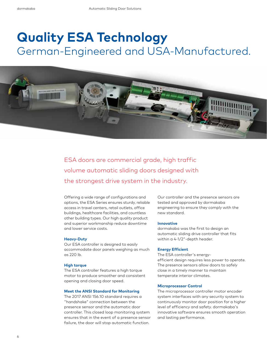### **Quality ESA Technology** German-Engineered and USA-Manufactured.



ESA doors are commercial grade, high traffic volume automatic sliding doors designed with the strongest drive system in the industry.

Offering a wide range of configurations and options, the ESA Series ensures sturdy, reliable access in travel centers, retail outlets, office buildings, healthcare facilities, and countless other building types. Our high quality product and superior workmanship reduce downtime and lower service costs.

#### **Heavy-Duty**

Our ESA controller is designed to easily accommodate door panels weighing as much as 220 lb.

#### **High torque**

The ESA controller features a high torque motor to produce smoother and consistent opening and closing door speed.

#### **Meet the ANSI Standard for Monitoring**

The 2017 ANSI 156.10 standard requires a "handshake" connection between the presence sensor and the automatic door controller. This closed loop monitoring system ensures that in the event of a presence sensor failure, the door will stop automatic function.

Our controller and the presence sensors are tested and approved by dormakaba engineering to ensure they comply with the new standard.

#### **Innovative**

dormakaba was the first to design an automatic sliding drive controller that fits within a 4-1/2"-depth header.

#### **Energy Efficient**

The ESA controller's energyefficient design requires less power to operate. The presence sensors allow doors to safely close in a timely manner to maintain temperate interior climates.

#### **Microprocessor Control**

The microprocessor controller motor encoder system interfaces with any security system to continuously monitor door position for a higher level of efficiency and safety. dormakaba's innovative software ensures smooth operation and lasting performance.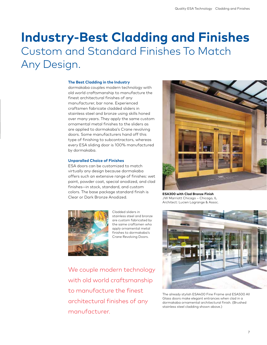### **Industry-Best Cladding and Finishes** Custom and Standard Finishes To Match Any Design.

#### **The Best Cladding in the Industry**

dormakaba couples modern technology with old world craftsmanship to manufacture the finest architectural finishes of any manufacturer, bar none. Experienced craftsmen fabricate cladded sliders in stainless steel and bronze using skills honed over many years. They apply the same custom ornamental metal finishes to the sliders as are applied to dormakaba's Crane revolving doors. Some manufacturers hand off this type of finishing to subcontractors, whereas every ESA sliding door is 100% manufactured by dormakaba.

#### **Unparalled Choice of Finishes**

ESA doors can be customized to match virtually any design because dormakaba offers such an extensive range of finishes: wet paint, powder coat, special anodized, and clad finishes—in stock, standard, and custom colors. The base package standard finish is Clear or Dark Bronze Anodized.



Cladded sliders in stainless steel and bronze are custom fabricated by the same craftsmen who apply ornamental metal finishes to dormakaba's Crane Revolving Doors.

We couple modern technology with old world craftsmanship to manufacture the finest architectural finishes of any manufacturer.



**ESA300 with Clad Bronze Finish**  JW Marriott Chicago – Chicago, IL Architect: Lucien Lagrange & Assoc.



The already stylish ESA400 Fine Frame and ESA500 All Glass doors make elegant entrances when clad in a dormakaba ornamental architectural finish. (Brushed stainless steel cladding shown above.)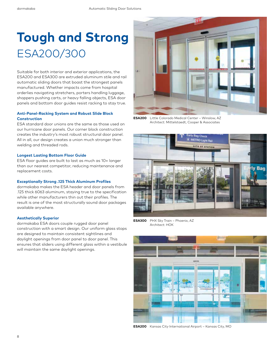## **Tough and Strong** ESA200/300

Suitable for both interior and exterior applications, the ESA200 and ESA300 are extruded aluminum stile and rail automatic sliding doors that boast the strongest panels manufactured. Whether impacts come from hospital orderlies navigating stretchers, porters handling luggage, shoppers pushing carts, or heavy falling objects, ESA door panels and bottom door guides resist racking to stay true.

#### **Anti-Panel-Racking System and Robust Slide Block Construction**

ESA standard door unions are the same as those used on our hurricane door panels. Our corner block construction creates the industry's most robust structural door panel. All in all, our design creates a union much stronger than welding and threaded rods.

#### **Longest Lasting Bottom Floor Guide**

ESA floor guides are built to last as much as 10× longer than our nearest competitor, reducing maintenance and replacement costs.

#### **Exceptionally Strong .125 Thick Aluminum Profiles**

dormakaba makes the ESA header and door panels from .125 thick 6063 aluminum, staying true to the specification while other manufacturers thin out their profiles. The result is one of the most structurally sound door packages available anywhere.

#### **Aesthetically Superior**

dormakaba ESA doors couple rugged door panel construction with a smart design. Our uniform glass stops are designed to maintain consistent sightlines and daylight openings from door panel to door panel. This ensures that sliders using different glass within a vestibule will maintain the same daylight openings.



**ESA200** Little Colorado Medical Center – Winslow, AZ Architect: Mittelstaedt, Cooper & Associates



**ESA300** PHX Sky Train – Phoenix, AZ Architect: HOK



**ESA200** Kansas City International Airport – Kansas City, MO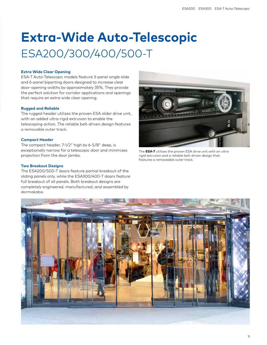## **Extra-Wide Auto-Telescopic** ESA200/300/400/500-T

#### **Extra Wide Clear Opening**

ESA-T Auto-Telescopic models feature 3-panel single slide and 6-panel biparting doors designed to increase clear door-opening widths by approximately 35%. They provide the perfect solution for corridor applications and openings that require an extra wide clear opening.

#### **Rugged and Reliable**

The rugged header utilizes the proven ESA slider drive unit, with an added ultra-rigid extrusion to enable the telescoping action. The reliable belt-driven design features a removable outer track.

#### **Compact Header**

The compact header, 7-1/2" high by 6-5/8" deep, is exceptionally narrow for a telescopic door and minimizes projection from the door jambs.

#### **Two Breakout Designs**

The ESA200/500-T doors feature partial breakout of the sliding panels only, while the ESA300/400-T doors feature full breakout of all panels. Both breakout designs are completely engineered, manufactured, and assembled by dormakaba.



The **ESA-T** utilizes the proven ESA drive unit with an ultra rigid extrusion and a reliable belt-driven design that features a removeable outer track.

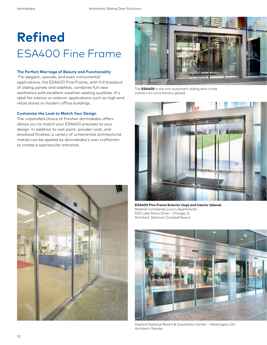# **Refined**  ESA400 Fine Frame

#### **The Perfect Marriage of Beauty and Functionality**

For elegant, upscale, and even monumental applications, the ESA400 Fine Frame, with full breakout of sliding panels and sidelites, combines full view aesthetics with excellent weather-sealing qualities. It's ideal for interior or exterior applications such as high-end retail stores or modern office buildings.

#### **Customize the Look to Match Your Design**

The unparalled choice of finishes dormakaba offers allows you to match your ESA400 precisely to your design. In addition to wet paint, powder coat, and anodized finishes, a variety of ornamental architectural metals can be applied by dormakaba's own craftsmen to create a spectacular entrance.





The **ESA400** is the only automatic sliding door in the industry to come factory glazed.



**ESA400 Fine Frame Exterior (top) and Interior (above)** Related Companies Luxury Apartments 500 Lake Shore Drive – Chicago, IL Architect: Solomon Cordwell Buenz



Gaylord National Resort & Convention Center – Washington DC Architect: Gensler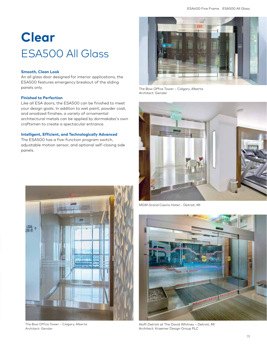# **Clear** ESA500 All Glass

#### **Smooth, Clean Look**

An all glass door designed for interior applications, the ESA500 features emergency breakout of the sliding panels only.

#### **Finished to Perfection**

Like all ESA doors, the ESA500 can be finished to meet your design goals. In additon to wet paint, powder coat, and anodized finishes, a variety of ornamental architectural metals can be applied by dormakaba's own craftsmen to create a spectacular entrance.

#### **Intelligent, Efficient, and Technologically Advanced**

The ESA500 has a five-function program switch, adjustable motion sensor, and optional self-closing side panels.



The Bow Office Tower – Calgary, Alberta Architect: Gensler



The Bow Office Tower – Calgary, Alberta Architect: Gensler



MGM Grand Casino Hotel – Detroit, MI



Aloft Detroit at The David Whitney – Detroit, MI Architect: Kraemer Design Group PLC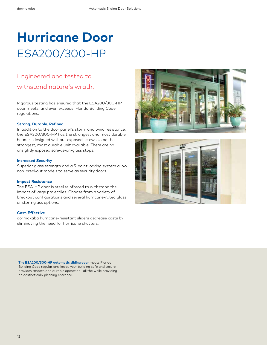## **Hurricane Door** ESA200/300-HP

### Engineered and tested to withstand nature's wrath.

Rigorous testing has ensured that the ESA200/300-HP door meets, and even exceeds, Florida Building Code regulations.

#### **Strong. Durable. Refined.**

In addition to the door panel's storm and wind resistance, the ESA200/300-HP has the strongest and most durable header—designed without exposed screws to be the strongest, most durable unit available. There are no unsightly exposed screws-on-glass stops.

#### **Increased Security**

Superior glass strength and a 5-point locking system allow non-breakout models to serve as security doors.

#### **Impact Resistance**

The ESA-HP door is steel reinforced to withstand the impact of large projectiles. Choose from a variety of breakout configurations and several hurricane-rated glass or stormglass options.

#### **Cost-Effective**

dormakaba hurricane-resistant sliders decrease costs by eliminating the need for hurricane shutters.





**The ESA200/300-HP automatic sliding door** meets Florida Building Code regulations, keeps your building safe and secure, provides smooth and durable operation—all the while providing an aesthetically pleasing entrance.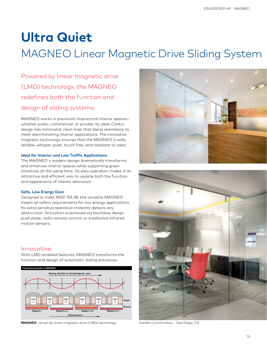### **Ultra Quiet**

### MAGNEO Linear Magnetic Drive Sliding System

Powered by linear magnetic drive (LMD) technology, the MAGNEO redefines both the function and design of sliding systems.

MAGNEO works in previously impractical interior spaces whether public, commercial, or private. Its sleek Contur design has minimalist clean lines that blend seamlessly to meet discriminating interior applications. The innovative magnetic technology ensures that the MAGNEO is safe, reliable, whisper quiet, touch free, and resistant to wear.

#### **Ideal for Interior and Low Traffic Applications**

The MAGNEO's modern design dramatically transforms and enhances interior spaces while supporting green initiatives at the same time. Its easy operation makes it an attractive and efficient way to update both the function and appearance of interior doorways.

#### **Safe, Low Energy Door**

Designed to meet ANSI 156.38, the versatile MAGNEO meets all safety requirements for low energy applications. Its extra sensitive operation instantly detects any obstruction. Activation is achieved via touchless design push plate, radio remote control, or traditional infrared motion sensors.

### Innovative

With LMD-enabled features, MAGNEO transforms the function and design of automatic sliding entrances.



**MAGNEO**—driven by linear magnetic drive (LMD) technology Garden Communities - San Diego, CA